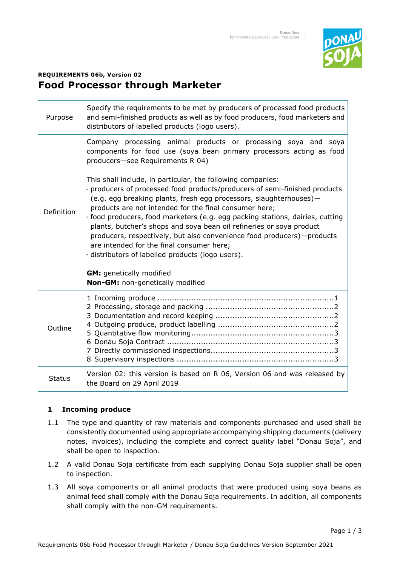

# **REQUIREMENTS 06b, Version 02 Food Processor through Marketer**

| Purpose       | Specify the requirements to be met by producers of processed food products<br>and semi-finished products as well as by food producers, food marketers and<br>distributors of labelled products (logo users).                                                                                                                                                                                                                                                                                                                                                                                                                                                                                                                                                                                                                    |
|---------------|---------------------------------------------------------------------------------------------------------------------------------------------------------------------------------------------------------------------------------------------------------------------------------------------------------------------------------------------------------------------------------------------------------------------------------------------------------------------------------------------------------------------------------------------------------------------------------------------------------------------------------------------------------------------------------------------------------------------------------------------------------------------------------------------------------------------------------|
| Definition    | Company processing animal products or processing soya and soya<br>components for food use (soya bean primary processors acting as food<br>producers-see Requirements R 04)<br>This shall include, in particular, the following companies:<br>- producers of processed food products/producers of semi-finished products<br>(e.g. egg breaking plants, fresh egg processors, slaughterhouses)-<br>products are not intended for the final consumer here;<br>- food producers, food marketers (e.g. egg packing stations, dairies, cutting<br>plants, butcher's shops and soya bean oil refineries or soya product<br>producers, respectively, but also convenience food producers)-products<br>are intended for the final consumer here;<br>- distributors of labelled products (logo users).<br><b>GM:</b> genetically modified |
|               | Non-GM: non-genetically modified                                                                                                                                                                                                                                                                                                                                                                                                                                                                                                                                                                                                                                                                                                                                                                                                |
| Outline       |                                                                                                                                                                                                                                                                                                                                                                                                                                                                                                                                                                                                                                                                                                                                                                                                                                 |
| <b>Status</b> | Version 02: this version is based on R 06, Version 06 and was released by<br>the Board on 29 April 2019                                                                                                                                                                                                                                                                                                                                                                                                                                                                                                                                                                                                                                                                                                                         |

# **1 Incoming produce**

- 1.1 The type and quantity of raw materials and components purchased and used shall be consistently documented using appropriate accompanying shipping documents (delivery notes, invoices), including the complete and correct quality label "Donau Soja", and shall be open to inspection.
- 1.2 A valid Donau Soja certificate from each supplying Donau Soja supplier shall be open to inspection.
- 1.3 All soya components or all animal products that were produced using soya beans as animal feed shall comply with the Donau Soja requirements. In addition, all components shall comply with the non-GM requirements.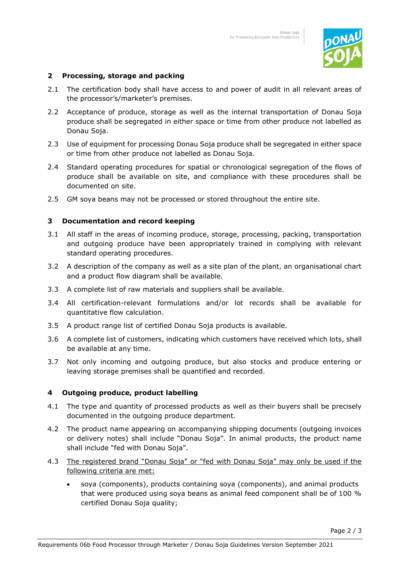

## **2 Processing, storage and packing**

- 2.1 The certification body shall have access to and power of audit in all relevant areas of the processor's/marketer's premises.
- 2.2 Acceptance of produce, storage as well as the internal transportation of Donau Soja produce shall be segregated in either space or time from other produce not labelled as Donau Soja.
- 2.3 Use of equipment for processing Donau Soja produce shall be segregated in either space or time from other produce not labelled as Donau Soja.
- 2.4 Standard operating procedures for spatial or chronological segregation of the flows of produce shall be available on site, and compliance with these procedures shall be documented on site.
- 2.5 GM soya beans may not be processed or stored throughout the entire site.

#### **3 Documentation and record keeping**

- 3.1 All staff in the areas of incoming produce, storage, processing, packing, transportation and outgoing produce have been appropriately trained in complying with relevant standard operating procedures.
- 3.2 A description of the company as well as a site plan of the plant, an organisational chart and a product flow diagram shall be available.
- 3.3 A complete list of raw materials and suppliers shall be available.
- 3.4 All certification-relevant formulations and/or lot records shall be available for quantitative flow calculation.
- 3.5 A product range list of certified Donau Soja products is available.
- 3.6 A complete list of customers, indicating which customers have received which lots, shall be available at any time.
- 3.7 Not only incoming and outgoing produce, but also stocks and produce entering or leaving storage premises shall be quantified and recorded.

#### **4 Outgoing produce, product labelling**

- 4.1 The type and quantity of processed products as well as their buyers shall be precisely documented in the outgoing produce department.
- 4.2 The product name appearing on accompanying shipping documents (outgoing invoices or delivery notes) shall include "Donau Soja". In animal products, the product name shall include "fed with Donau Soja".
- 4.3 The registered brand "Donau Soja" or "fed with Donau Soja" may only be used if the following criteria are met:
	- soya (components), products containing soya (components), and animal products that were produced using soya beans as animal feed component shall be of 100 % certified Donau Soja quality;